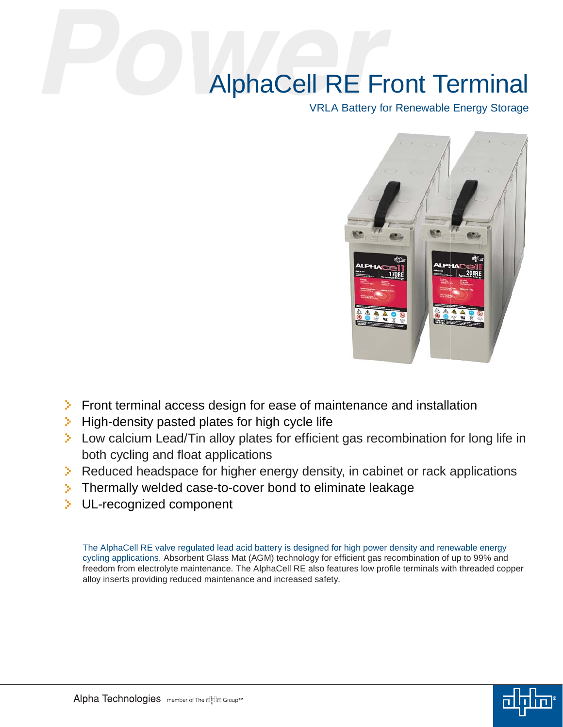## AlphaCell RE Front Terminal

VRLA Battery for Renewable Energy Storage



- $\triangleright$  Front terminal access design for ease of maintenance and installation
- $\triangleright$  High-density pasted plates for high cycle life
- $\geq$  Low calcium Lead/Tin alloy plates for efficient gas recombination for long life in both cycling and float applications
- $\triangleright$  Reduced headspace for higher energy density, in cabinet or rack applications
- Thermally welded case-to-cover bond to eliminate leakage
- **EXECUL-recognized component**

The AlphaCell RE valve regulated lead acid battery is designed for high power density and renewable energy cycling applications. Absorbent Glass Mat (AGM) technology for efficient gas recombination of up to 99% and freedom from electrolyte maintenance. The AlphaCell RE also features low profile terminals with threaded copper alloy inserts providing reduced maintenance and increased safety.